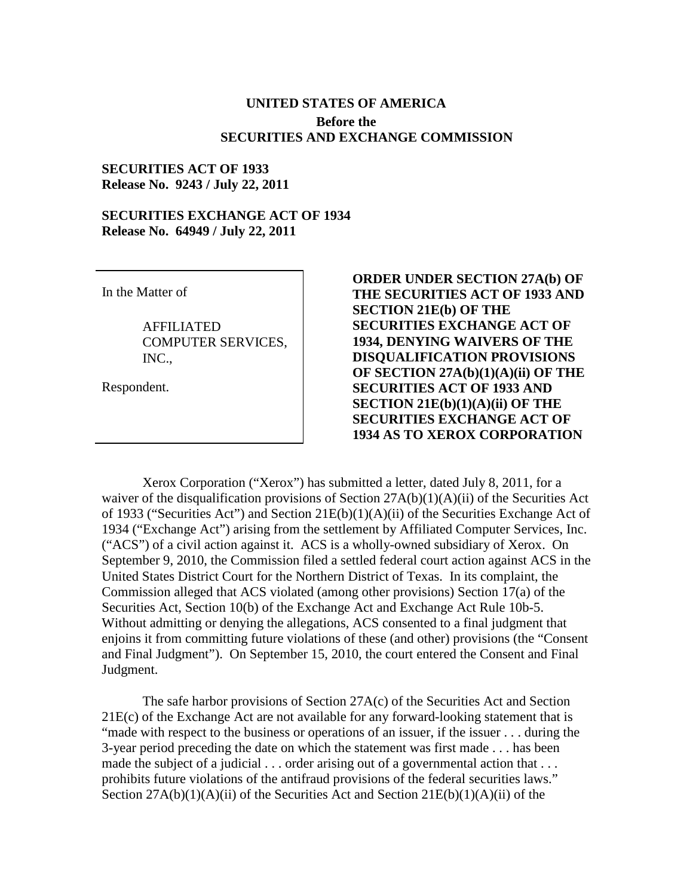## **UNITED STATES OF AMERICA Before the SECURITIES AND EXCHANGE COMMISSION**

## **SECURITIES ACT OF 1933 Release No. 9243 / July 22, 2011**

## **SECURITIES EXCHANGE ACT OF 1934 Release No. 64949 / July 22, 2011**

In the Matter of

AFFILIATED COMPUTER SERVICES, INC.,

Respondent.

**ORDER UNDER SECTION 27A(b) OF THE SECURITIES ACT OF 1933 AND SECTION 21E(b) OF THE SECURITIES EXCHANGE ACT OF 1934, DENYING WAIVERS OF THE DISQUALIFICATION PROVISIONS OF SECTION 27A(b)(1)(A)(ii) OF THE SECURITIES ACT OF 1933 AND SECTION 21E(b)(1)(A)(ii) OF THE SECURITIES EXCHANGE ACT OF 1934 AS TO XEROX CORPORATION**

 Xerox Corporation ("Xerox") has submitted a letter, dated July 8, 2011, for a waiver of the disqualification provisions of Section 27A(b)(1)(A)(ii) of the Securities Act of 1933 ("Securities Act") and Section 21E(b)(1)(A)(ii) of the Securities Exchange Act of 1934 ("Exchange Act") arising from the settlement by Affiliated Computer Services, Inc. ("ACS") of a civil action against it. ACS is a wholly-owned subsidiary of Xerox. On September 9, 2010, the Commission filed a settled federal court action against ACS in the United States District Court for the Northern District of Texas. In its complaint, the Commission alleged that ACS violated (among other provisions) Section 17(a) of the Securities Act, Section 10(b) of the Exchange Act and Exchange Act Rule 10b-5. Without admitting or denying the allegations, ACS consented to a final judgment that enjoins it from committing future violations of these (and other) provisions (the "Consent and Final Judgment"). On September 15, 2010, the court entered the Consent and Final Judgment.

 The safe harbor provisions of Section 27A(c) of the Securities Act and Section 21E(c) of the Exchange Act are not available for any forward-looking statement that is "made with respect to the business or operations of an issuer, if the issuer . . . during the 3-year period preceding the date on which the statement was first made . . . has been made the subject of a judicial . . . order arising out of a governmental action that . . . prohibits future violations of the antifraud provisions of the federal securities laws." Section  $27A(b)(1)(A)(ii)$  of the Securities Act and Section  $21E(b)(1)(A)(ii)$  of the